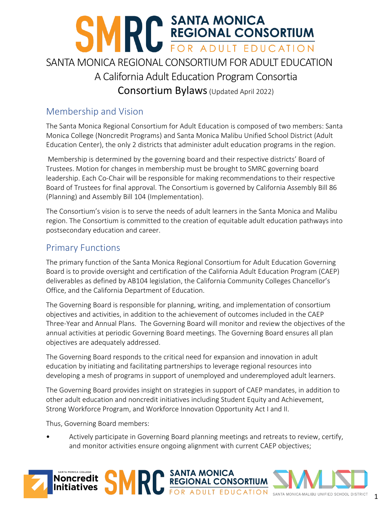# **EXECTS SANTA MONICA<br>REGIONAL CONSORTIUM** SANTA MONICA REGIONAL CONSORTIUM FOR ADULT EDUCATION A California Adult Education Program Consortia Consortium Bylaws(Updated April 2022)

# Membership and Vision

The Santa Monica Regional Consortium for Adult Education is composed of two members: Santa Monica College (Noncredit Programs) and Santa Monica Malibu Unified School District (Adult Education Center), the only 2 districts that administer adult education programs in the region.

Membership is determined by the governing board and their respective districts' Board of Trustees. Motion for changes in membership must be brought to SMRC governing board leadership. Each Co-Chair will be responsible for making recommendations to their respective Board of Trustees for final approval. The Consortium is governed by California Assembly Bill 86 (Planning) and Assembly Bill 104 (Implementation).

The Consortium's vision is to serve the needs of adult learners in the Santa Monica and Malibu region. The Consortium is committed to the creation of equitable adult education pathways into postsecondary education and career.

#### Primary Functions

The primary function of the Santa Monica Regional Consortium for Adult Education Governing Board is to provide oversight and certification of the California Adult Education Program (CAEP) deliverables as defined by AB104 legislation, the California Community Colleges Chancellor's Office, and the California Department of Education.

The Governing Board is responsible for planning, writing, and implementation of consortium objectives and activities, in addition to the achievement of outcomes included in the CAEP Three-Year and Annual Plans. The Governing Board will monitor and review the objectives of the annual activities at periodic Governing Board meetings. The Governing Board ensures all plan objectives are adequately addressed.

The Governing Board responds to the critical need for expansion and innovation in adult education by initiating and facilitating partnerships to leverage regional resources into developing a mesh of programs in support of unemployed and underemployed adult learners.

The Governing Board provides insight on strategies in support of CAEP mandates, in addition to other adult education and noncredit initiatives including Student Equity and Achievement, Strong Workforce Program, and Workforce Innovation Opportunity Act I and II.

Thus, Governing Board members:

• Actively participate in Governing Board planning meetings and retreats to review, certify, and monitor activities ensure ongoing alignment with current CAEP objectives;

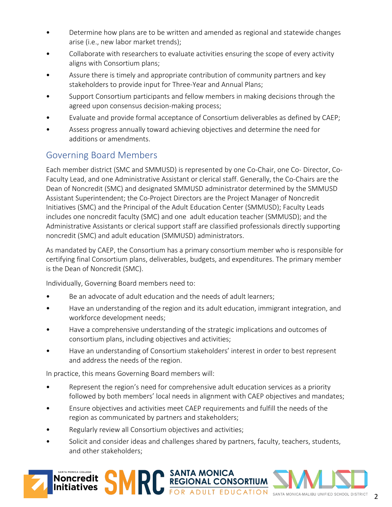- Determine how plans are to be written and amended as regional and statewide changes arise (i.e., new labor market trends);
- Collaborate with researchers to evaluate activities ensuring the scope of every activity aligns with Consortium plans;
- Assure there is timely and appropriate contribution of community partners and key stakeholders to provide input for Three-Year and Annual Plans;
- Support Consortium participants and fellow members in making decisions through the agreed upon consensus decision-making process;
- Evaluate and provide formal acceptance of Consortium deliverables as defined by CAEP;
- Assess progress annually toward achieving objectives and determine the need for additions or amendments.

# Governing Board Members

Each member district (SMC and SMMUSD) is represented by one Co-Chair, one Co- Director, Co-Faculty Lead, and one Administrative Assistant or clerical staff. Generally, the Co-Chairs are the Dean of Noncredit (SMC) and designated SMMUSD administrator determined by the SMMUSD Assistant Superintendent; the Co-Project Directors are the Project Manager of Noncredit Initiatives (SMC) and the Principal of the Adult Education Center (SMMUSD); Faculty Leads includes one noncredit faculty (SMC) and one adult education teacher (SMMUSD); and the Administrative Assistants or clerical support staff are classified professionals directly supporting noncredit (SMC) and adult education (SMMUSD) administrators.

As mandated by CAEP, the Consortium has a primary consortium member who is responsible for certifying final Consortium plans, deliverables, budgets, and expenditures. The primary member is the Dean of Noncredit (SMC).

Individually, Governing Board members need to:

- Be an advocate of adult education and the needs of adult learners;
- Have an understanding of the region and its adult education, immigrant integration, and workforce development needs;
- Have a comprehensive understanding of the strategic implications and outcomes of consortium plans, including objectives and activities;
- Have an understanding of Consortium stakeholders' interest in order to best represent and address the needs of the region.

In practice, this means Governing Board members will:

- Represent the region's need for comprehensive adult education services as a priority followed by both members' local needs in alignment with CAEP objectives and mandates;
- Ensure objectives and activities meet CAEP requirements and fulfill the needs of the region as communicated by partners and stakeholders;
- Regularly review all Consortium objectives and activities;
- Solicit and consider ideas and challenges shared by partners, faculty, teachers, students, and other stakeholders;

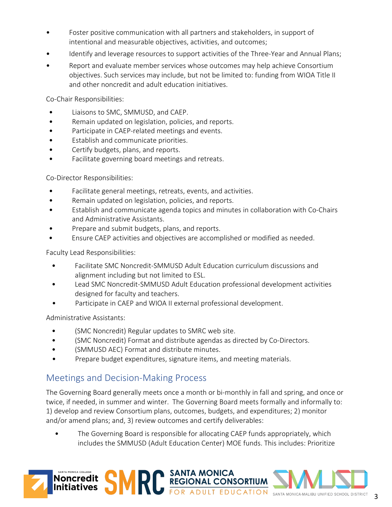- Foster positive communication with all partners and stakeholders, in support of intentional and measurable objectives, activities, and outcomes;
- Identify and leverage resources to support activities of the Three-Year and Annual Plans;
- Report and evaluate member services whose outcomes may help achieve Consortium objectives. Such services may include, but not be limited to: funding from WIOA Title II and other noncredit and adult education initiatives.

Co-Chair Responsibilities:

- Liaisons to SMC, SMMUSD, and CAEP.
- Remain updated on legislation, policies, and reports.
- Participate in CAEP-related meetings and events.
- Establish and communicate priorities.
- Certify budgets, plans, and reports.
- Facilitate governing board meetings and retreats.

Co-Director Responsibilities:

- Facilitate general meetings, retreats, events, and activities.
- Remain updated on legislation, policies, and reports.
- Establish and communicate agenda topics and minutes in collaboration with Co-Chairs and Administrative Assistants.
- Prepare and submit budgets, plans, and reports.
- Ensure CAEP activities and objectives are accomplished or modified as needed.

Faculty Lead Responsibilities:

- Facilitate SMC Noncredit-SMMUSD Adult Education curriculum discussions and alignment including but not limited to ESL.
- Lead SMC Noncredit-SMMUSD Adult Education professional development activities designed for faculty and teachers.
- Participate in CAEP and WIOA II external professional development.

Administrative Assistants:

- (SMC Noncredit) Regular updates to SMRC web site.
- (SMC Noncredit) Format and distribute agendas as directed by Co-Directors.
- (SMMUSD AEC) Format and distribute minutes.
- Prepare budget expenditures, signature items, and meeting materials.

#### Meetings and Decision-Making Process

The Governing Board generally meets once a month or bi-monthly in fall and spring, and once or twice, if needed, in summer and winter. The Governing Board meets formally and informally to: 1) develop and review Consortium plans, outcomes, budgets, and expenditures; 2) monitor and/or amend plans; and, 3) review outcomes and certify deliverables:

• The Governing Board is responsible for allocating CAEP funds appropriately, which includes the SMMUSD (Adult Education Center) MOE funds. This includes: Prioritize

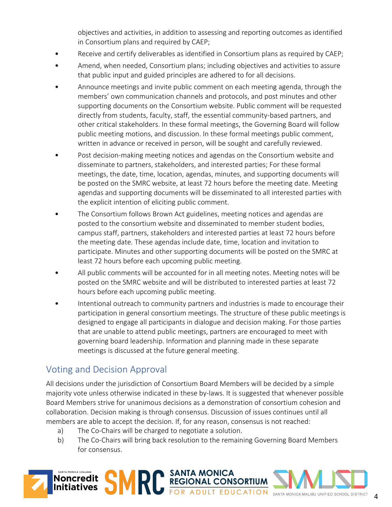objectives and activities, in addition to assessing and reporting outcomes as identified in Consortium plans and required by CAEP;

- Receive and certify deliverables as identified in Consortium plans as required by CAEP;
- Amend, when needed, Consortium plans; including objectives and activities to assure that public input and guided principles are adhered to for all decisions.
- Announce meetings and invite public comment on each meeting agenda, through the members' own communication channels and protocols, and post minutes and other supporting documents on the Consortium website. Public comment will be requested directly from students, faculty, staff, the essential community-based partners, and other critical stakeholders. In these formal meetings, the Governing Board will follow public meeting motions, and discussion. In these formal meetings public comment, written in advance or received in person, will be sought and carefully reviewed.
- Post decision-making meeting notices and agendas on the Consortium website and disseminate to partners, stakeholders, and interested parties; For these formal meetings, the date, time, location, agendas, minutes, and supporting documents will be posted on the SMRC website, at least 72 hours before the meeting date. Meeting agendas and supporting documents will be disseminated to all interested parties with the explicit intention of eliciting public comment.
- The Consortium follows Brown Act guidelines, meeting notices and agendas are posted to the consortium website and disseminated to member student bodies, campus staff, partners, stakeholders and interested parties at least 72 hours before the meeting date. These agendas include date, time, location and invitation to participate. Minutes and other supporting documents will be posted on the SMRC at least 72 hours before each upcoming public meeting.
- All public comments will be accounted for in all meeting notes. Meeting notes will be posted on the SMRC website and will be distributed to interested parties at least 72 hours before each upcoming public meeting.
- Intentional outreach to community partners and industries is made to encourage their participation in general consortium meetings. The structure of these public meetings is designed to engage all participants in dialogue and decision making. For those parties that are unable to attend public meetings, partners are encouraged to meet with governing board leadership. Information and planning made in these separate meetings is discussed at the future general meeting.

### Voting and Decision Approval

All decisions under the jurisdiction of Consortium Board Members will be decided by a simple majority vote unless otherwise indicated in these by-laws. It is suggested that whenever possible Board Members strive for unanimous decisions as a demonstration of consortium cohesion and collaboration. Decision making is through consensus. Discussion of issues continues until all members are able to accept the decision. If, for any reason, consensus is not reached:

- a) The Co-Chairs will be charged to negotiate a solution.
- b) The Co-Chairs will bring back resolution to the remaining Governing Board Members for consensus.